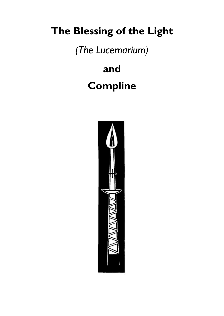# **The Blessing of the Light**

*(The Lucernarium)*

**and Compline**

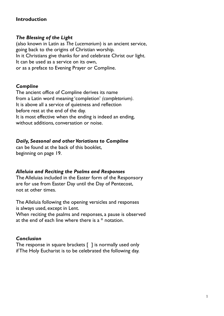#### **Introduction**

#### *The Blessing of the Light*

(also known in Latin as *The Lucernarium*) is an ancient service, going back to the origins of Christian worship. In it Christians give thanks for and celebrate Christ our light. It can be used as a service on its own, or as a preface to Evening Prayer or Compline.

#### *Compline*

The ancient office of Compline derives its name from a Latin word meaning 'completion' *(completorium)*. It is above all a service of quietness and reflection before rest at the end of the day. It is most effective when the ending is indeed an ending, without additions, conversation or noise.

#### *Daily, Seasonal and other Variations to Compline*

can be found at the back of this booklet, beginning on page 19.

#### *Alleluia and Reciting the Psalms and Responses*

The Alleluias included in the Easter form of the Responsory are for use from Easter Day until the Day of Pentecost, not at other times.

The Alleluia following the opening versicles and responses is always used, except in Lent.

When reciting the psalms and responses, a pause is observed at the end of each line where there is a \* notation.

#### *Conclusion*

The response in square brackets [ ] is normally used only if The Holy Eucharist is to be celebrated the following day.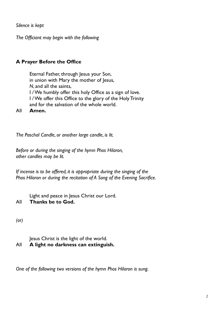*Silence is kept*

*The Officiant may begin with the following*

## **A Prayer Before the Office**

Eternal Father, through Jesus your Son, in union with Mary the mother of Jesus, *N*, and all the saints, I / We humbly offer this holy Office as a sign of love. I / We offer this Office to the glory of the Holy Trinity and for the salvation of the whole world.

All **Amen.**

*The Paschal Candle, or another large candle, is lit.*

*Before or during the singing of the hymn Phos Hilaron, other candles may be lit.*

*If incense is to be offered, it is appropriate during the singing of the Phos Hilaron or during the recitation of A Song of the Evening Sacrifice.*

Light and peace in Jesus Christ our Lord. All **Thanks be to God.**

*(or)*

Jesus Christ is the light of the world. All **A light no darkness can extinguish.**

*One of the following two versions of the hymn Phos Hilaron is sung.*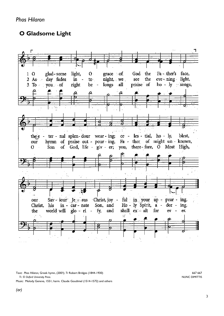*Phos Hilaron*

## **O Gladsome Light**



Text: *Phos Hilaron,* Greek hymn, (200?); *Tr* Robert Bridges (1844-1930) 667 667  *Tr. © Oxford University Press.* NUNC DIMITTIS

Music: Melody Geneva, 1551; harm. Claude Goudimel (1514-1572) and others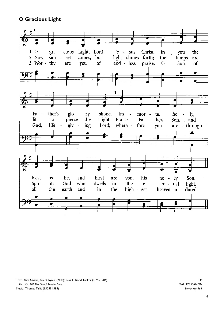#### **O Gracious Light**



Text: *Phos Hilaron,* Greek hymn, (200?); *para.* F. Bland Tucker (1895-1984).LM  *Para. © 1985 The Church Pension Fund..* TALLIS'S CANON Music: Thomas Tallis (1505?-1585) *Lower key 664*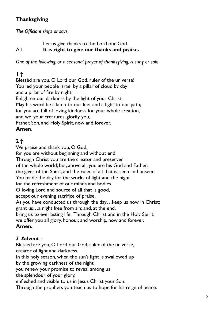## **Thanksgiving**

*The Officiant sings or says,*

Let us give thanks to the Lord our God. All **It is right to give our thanks and praise.**

*One of the following, or a seasonal prayer of thanksgiving, is sung or said*

## **1 †**

Blessèd are you, O Lord our God, ruler of the universe! You led your people Israel by a pillar of cloud by day and a pillar of fire by night. Enlighten our darkness by the light of your Christ. May his word be a lamp to our feet and a light to our path; for you are full of loving kindness for your whole creation, and we, your creatures, glorify you, Father, Son, and Holy Spirit, now and forever. **Amen.**

## **2 †**

We praise and thank you, O God,

for you are without beginning and without end.

Through Christ you are the creator and preserver

of the whole world; but, above all, you are his God and Father,

the giver of the Spirit, and the ruler of all that is, seen and unseen.

You made the day for the works of light and the night

for the refreshment of our minds and bodies.

O loving Lord and source of all that is good,

accept our evening sacrifice of praise.

As you have conducted us through the day…keep us now in Christ; grant us…a night free from sin; and, at the end,

bring us to everlasting life. Through Christ and in the Holy Spirit,

we offer you all glory, honour, and worship, now and forever.

## **Amen.**

## **3 Advent** †

Blessed are you, O Lord our God, ruler of the universe,

creator of light and darkness.

In this holy season, when the sun's light is swallowed up

by the growing darkness of the night,

you renew your promise to reveal among us

the splendour of your glory,

enfleshed and visible to us in Jesus Christ your Son.

Through the prophets you teach us to hope for his reign of peace.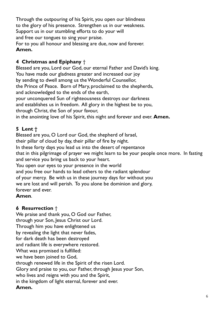Through the outpouring of his Spirit, you open our blindness to the glory of his presence. Strengthen us in our weakness. Support us in our stumbling efforts to do your will and free our tongues to sing your praise. For to you all honour and blessing are due, now and forever. **Amen.**

## **4 Christmas and Epiphany** †

Blessed are you, Lord our God, our eternal Father and David's king. You have made our gladness greater and increased our joy by sending to dwell among us the Wonderful Counsellor, the Prince of Peace. Born of Mary, proclaimed to the shepherds, and acknowledged to the ends of the earth, your unconquered Sun of righteousness destroys our darkness and establishes us in freedom. All glory in the highest be to you, through Christ, the Son of your favour, in the anointing love of his Spirit, this night and forever and ever. **Amen.**

## **5 Lent †**

Blessed are you, O Lord our God, the shepherd of Israel, their pillar of cloud by day, their pillar of fire by night. In these forty days you lead us into the desert of repentance that in this pilgrimage of prayer we might learn to be your people once more. In fasting and service you bring us back to your heart. You open our eyes to your presence in the world

and you free our hands to lead others to the radiant splendour of your mercy. Be with us in these journey days for without you we are lost and will perish. To you alone be dominion and glory, forever and ever.

#### **Amen**.

## **6 Resurrection** †

We praise and thank you, O God our Father, through your Son, Jesus Christ our Lord. Through him you have enlightened us by revealing the light that never fades, for dark death has been destroyed and radiant life is everywhere restored. What was promised is fulfilled: we have been joined to God, through renewed life in the Spirit of the risen Lord. Glory and praise to you, our Father, through Jesus your Son, who lives and reigns with you and the Spirit, in the kingdom of light eternal, forever and ever. **Amen.**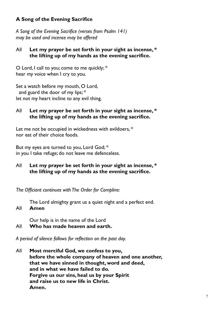## **A Song of the Evening Sacrifice**

*A Song of the Evening Sacrifice (verses from Psalm 141) may be used and incense may be offered*

#### All **Let my prayer be set forth in your sight as incense, \* the lifting up of my hands as the evening sacrifice.**

O Lord, I call to you; come to me quickly; \* hear my voice when I cry to you.

Set a watch before my mouth, O Lord, and guard the door of my lips; \* let not my heart incline to any evil thing.

#### All **Let my prayer be set forth in your sight as incense, \* the lifting up of my hands as the evening sacrifice.**

Let me not be occupied in wickedness with evildoers,  $*$ nor eat of their choice foods.

But my eyes are turned to you, Lord God; \* in you I take refuge; do not leave me defenceless.

All **Let my prayer be set forth in your sight as incense, \* the lifting up of my hands as the evening sacrifice.**

*The Officiant continues with The Order for Compline:*

The Lord almighty grant us a quiet night and a perfect end. All **Amen**

Our help is in the name of the Lord

All **Who has made heaven and earth.**

*A period of silence follows for reflection on the past day.* 

All **Most merciful God, we confess to you, before the whole company of heaven and one another, that we have sinned in thought, word and deed, and in what we have failed to do. Forgive us our sins, heal us by your Spirit and raise us to new life in Christ. Amen.**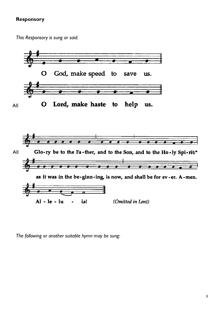#### **Responsory**

*This Responsory is sung or said.*



*The following or another suitable hymn may be sung:*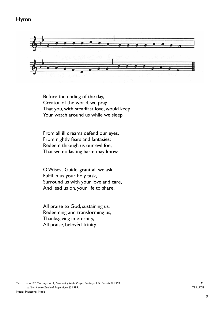#### **Hymn**



Before the ending of the day, Creator of the world, we pray That you, with steadfast love, would keep Your watch around us while we sleep.

From all ill dreams defend our eyes, From nightly fears and fantasies; Redeem through us our evil foe, That we no lasting harm may know.

O Wisest Guide, grant all we ask, Fulfil in us your holy task, Surround us with your love and care, And lead us on, your life to share.

All praise to God, sustaining us, Redeeming and transforming us, Thanksgiving in eternity, All praise, belovèd Trinity.

Text: Latin (6<sup>th</sup> Century); st. 1, *Celebrating Night Prayer*, Society of St. Francis © 1992 st. 2-4, *A New Zealand Prayer Book* © 1989.TE LUCIS Music: Plainsong, Mode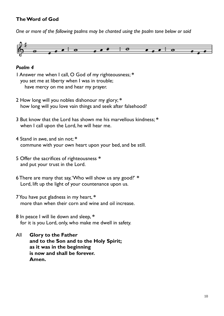## **The Word of God**

*One or more of the following psalms may be chanted using the psalm tone below or said*



#### *Psalm 4*

1 Answer me when I call, O God of my righteousness; **\*** you set me at liberty when I was in trouble; have mercy on me and hear my prayer.

- 2 How long will you nobles dishonour my glory; **\*** how long will you love vain things and seek after falsehood?
- 3 But know that the Lord has shown me his marvellous kindness; **\*** when I call upon the Lord, he will hear me.
- 4 Stand in awe, and sin not; **\*** commune with your own heart upon your bed, and be still.
- 5 Offer the sacrifices of righteousness **\*** and put your trust in the Lord.
- 6 There are many that say, 'Who will show us any good?' **\*** Lord, lift up the light of your countenance upon us.
- 7 You have put gladness in my heart, **\*** more than when their corn and wine and oil increase.
- 8 In peace I will lie down and sleep, **\*** for it is you Lord, only, who make me dwell in safety.
- All **Glory to the Father and to the Son and to the Holy Spirit; as it was in the beginning is now and shall be forever. Amen.**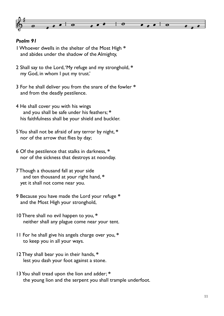

#### *Psalm 91*

1 Whoever dwells in the shelter of the Most High **\*** and abides under the shadow of the Almighty,

- 2 Shall say to the Lord, 'My refuge and my stronghold, **\*** my God, in whom I put my trust.'
- 3 For he shall deliver you from the snare of the fowler **\*** and from the deadly pestilence.
- 4 He shall cover you with his wings and you shall be safe under his feathers; **\*** his faithfulness shall be your shield and buckler.
- 5 You shall not be afraid of any terror by night, **\*** nor of the arrow that flies by day;
- 6 Of the pestilence that stalks in darkness, **\*** nor of the sickness that destroys at noonday.
- 7 Though a thousand fall at your side and ten thousand at your right hand, **\*** yet it shall not come near you.
- 9 Because you have made the Lord your refuge **\*** and the Most High your stronghold,
- 10 There shall no evil happen to you, **\*** neither shall any plague come near your tent.
- 11 For he shall give his angels charge over you, **\*** to keep you in all your ways.
- 12 They shall bear you in their hands, **\*** lest you dash your foot against a stone.
- 13 You shall tread upon the lion and adder; **\*** the young lion and the serpent you shall trample underfoot.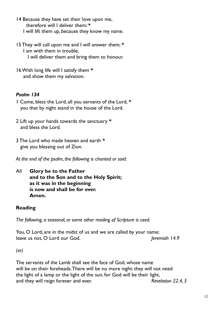- 14 Because they have set their love upon me, therefore will I deliver them; **\*** I will lift them up, because they know my name.
- 15 They will call upon me and I will answer them; **\*** I am with them in trouble, I will deliver them and bring them to honour.
- 16 With long life will I satisfy them **\*** and show them my salvation.

## *Psalm 134*

- 1 Come, bless the Lord, all you servants of the Lord, **\*** you that by night stand in the house of the Lord.
- 2 Lift up your hands towards the sanctuary **\*** and bless the Lord.
- 3 The Lord who made heaven and earth **\*** give you blessing out of Zion.

*At the end of the psalm, the following is chanted or said:*

All **Glory be to the Father and to the Son and to the Holy Spirit; as it was in the beginning is now and shall be for ever. Amen.**

## **Reading**

*The following, a seasonal, or some other reading of Scripture is used.*

You, O Lord, are in the midst of us and we are called by your name; leave us not, O Lord our God. *Jeremiah 14.9 Jeremiah 14.9* 

*(or)*

The servants of the Lamb shall see the face of God, whose name will be on their foreheads. There will be no more night: they will not need the light of a lamp or the light of the sun, for God will be their light, and they will reign forever and ever. *Revelation 22.4, 5*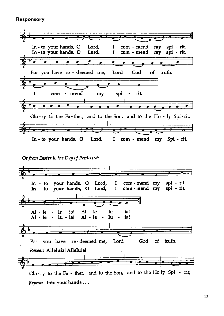#### **Responsory**



#### Or from Easter to the Day of Pentecost:



Repeat: Into your hands ...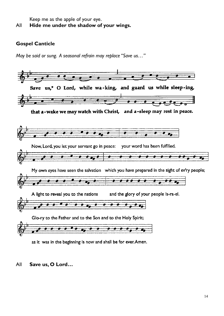Keep me as the apple of your eye. All **Hide me under the shadow of your wings.**

#### **Gospel Canticle**

*May be said or sung. A seasonal refrain may replace "Save us…"*



as it was in the beginning is now and shall be for ever. Amen.

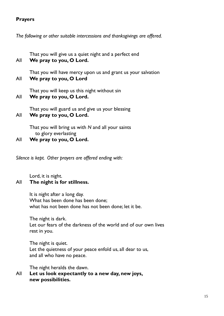#### **Prayers**

*The following or other suitable intercessions and thanksgivings are offered.*

That you will give us a quiet night and a perfect end All **We pray to you, O Lord.**

That you will have mercy upon us and grant us your salvation All **We pray to you, O Lord**

That you will keep us this night without sin All **We pray to you, O Lord.**

That you will guard us and give us your blessing All **We pray to you, O Lord.**

- That you will bring us with *N* and all your saints
- to glory everlasting
- All **We pray to you, O Lord.**

*Silence is kept. Other prayers are offered ending with:*

Lord, it is night.

## All **The night is for stillness.**

It is night after a long day. What has been done has been done; what has not been done has not been done; let it be.

The night is dark. Let our fears of the darkness of the world and of our own lives rest in you.

The night is quiet. Let the quietness of your peace enfold us, all dear to us, and all who have no peace.

The night heralds the dawn.

All **Let us look expectantly to a new day, new joys, new possibilities.**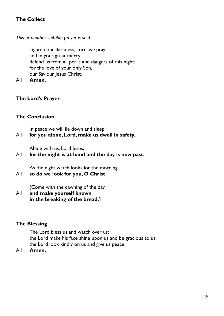## **The Collect**

*This or another suitable prayer is said:*

Lighten our darkness, Lord, we pray; and in your great mercy defend us from all perils and dangers of this night; for the love of your only Son, our Saviour Jesus Christ.

All **Amen.**

#### **The Lord's Prayer**

### **The Conclusion**

In peace we will lie down and sleep;

## All **for you alone, Lord, make us dwell in safety.**

Abide with us, Lord Jesus,

## All **for the night is at hand and the day is now past.**

As the night watch looks for the morning,

All **so do we look for you, O Christ.**

[Come with the dawning of the day

All **and make yourself known in the breaking of the bread.**]

#### **The Blessing**

The Lord bless us and watch over us; the Lord make his face shine upon us and be gracious to us; the Lord look kindly on us and give us peace.

All **Amen.**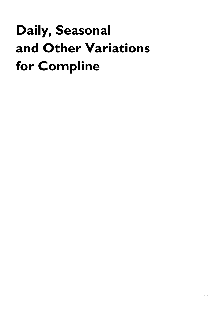# **Daily, Seasonal and Other Variations for Compline**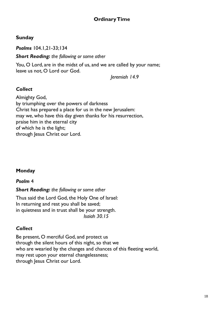## **Ordinary Time**

#### **Sunday**

*Psalms* 104.1,21-33;134

*Short Reading: the following or some other*

You, O Lord, are in the midst of us, and we are called by your name; leave us not, O Lord our God.

*Jeremiah 14.9*

### *Collect*

Almighty God, by triumphing over the powers of darkness Christ has prepared a place for us in the new Jerusalem: may we, who have this day given thanks for his resurrection, praise him in the eternal city of which he is the light; through Jesus Christ our Lord.

## **Monday**

#### *Psalm* 4

#### *Short Reading: the following or some other*

Thus said the Lord God, the Holy One of Israel: In returning and rest you shall be saved; in quietness and in trust shall be your strength. *Isaiah 30.15*

#### *Collect*

Be present, O merciful God, and protect us through the silent hours of this night, so that we who are wearied by the changes and chances of this fleeting world, may rest upon your eternal changelessness; through Jesus Christ our Lord.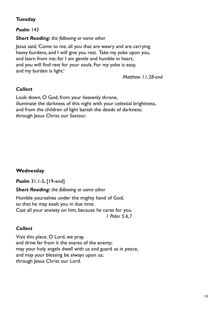## **Tuesday**

*Psalm* 143

#### *Short Reading: the following or some other*

Jesus said, 'Come to me, all you that are weary and are carrying heavy burdens, and I will give you rest. Take my yoke upon you, and learn from me; for I am gentle and humble in heart, and you will find rest for your souls. For my yoke is easy, and my burden is light.'

 *Matthew 11.28-end*

## *Collect*

Look down, O God, from your heavenly throne, illuminate the darkness of this night with your celestial brightness, and from the children of light banish the deeds of darkness; through Jesus Christ our Saviour.

## **Wednesday**

*Psalm* 31.1-5, [19-end]

*Short Reading: the following or some other*

Humble yourselves under the mighty hand of God, so that he may exalt you in due time. Cast all your anxiety on him, because he cares for you. *1 Peter 5.6,7*

## *Collect*

Visit this place, O Lord, we pray, and drive far from it the snares of the enemy; may your holy angels dwell with us and guard us in peace, and may your blessing be always upon us; through Jesus Christ our Lord.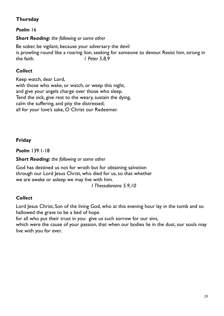## **Thursday**

#### *Psalm* 16

#### *Short Reading: the following or some other*

Be sober, be vigilant, because your adversary the devil is prowling round like a roaring lion, seeking for someone to devour. Resist him, strong in the faith. *1 Peter 5.8,9*

#### *Collect*

Keep watch, dear Lord, with those who wake, or watch, or weep this night, and give your angels charge over those who sleep. Tend the sick, give rest to the weary, sustain the dying, calm the suffering, and pity the distressed; all for your love's sake, O Christ our Redeemer.

#### **Friday**

*Psalm* 139.1-18

#### *Short Reading: the following or some other*

God has destined us not for wrath but for obtaining salvation through our Lord Jesus Christ, who died for us, so that whether we are awake or asleep we may live with him.

*1 Thessalonians 5.9,10*

#### *Collect*

Lord Jesus Christ, Son of the living God, who at this evening hour lay in the tomb and so hallowed the grave to be a bed of hope

for all who put their trust in you: give us such sorrow for our sins,

which were the cause of your passion, that when our bodies lie in the dust, our souls may live with you for ever.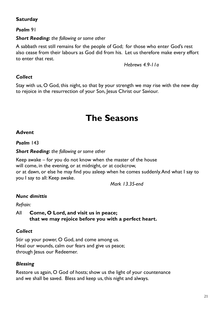## **Saturday**

## *Psalm* 91

#### *Short Reading: the following or some other*

A sabbath rest still remains for the people of God; for those who enter God's rest also cease from their labours as God did from his. Let us therefore make every effort to enter that rest.

 *Hebrews 4.9-11a*

#### *Collect*

Stay with us, O God, this night, so that by your strength we may rise with the new day to rejoice in the resurrection of your Son, Jesus Christ our Saviour.

## **The Seasons**

#### **Advent**

#### *Psalm* 143

#### *Short Reading: the following or some other*

Keep awake – for you do not know when the master of the house will come, in the evening, or at midnight, or at cockcrow, or at dawn, or else he may find you asleep when he comes suddenly. And what I say to you I say to all: Keep awake.

*Mark 13.35-end*

## *Nunc dimittis*

#### *Refrain:*

All **Come, O Lord, and visit us in peace; that we may rejoice before you with a perfect heart.**

## *Collect*

Stir up your power, O God, and come among us. Heal our wounds, calm our fears and give us peace; through Jesus our Redeemer.

#### *Blessing*

Restore us again, O God of hosts; show us the light of your countenance and we shall be saved. Bless and keep us, this night and always.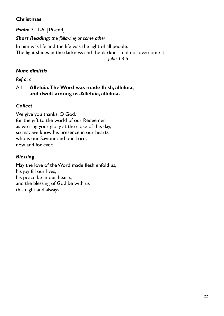## **Christmas**

*Psalm* 31.1-5, [19-end]

*Short Reading: the following or some other*

In him was life and the life was the light of all people. The light shines in the darkness and the darkness did not overcome it.

 *John 1.4,5*

## *Nunc dimittis*

*Refrain:*

### All **Alleluia. The Word was made flesh, alleluia, and dwelt among us. Alleluia, alleluia.**

## *Collect*

We give you thanks, O God, for the gift to the world of our Redeemer; as we sing your glory at the close of this day, so may we know his presence in our hearts, who is our Saviour and our Lord, now and for ever.

## *Blessing*

May the love of the Word made flesh enfold us, his joy fill our lives, his peace be in our hearts; and the blessing of God be with us this night and always.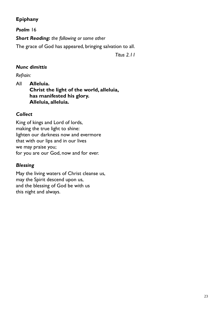## **Epiphany**

## *Psalm* 16

*Short Reading: the following or some other*

The grace of God has appeared, bringing salvation to all.

*Titus 2.11*

## *Nunc dimittis*

*Refrain:*

All **Alleluia. Christ the light of the world, alleluia, has manifested his glory. Alleluia, alleluia.**

### *Collect*

King of kings and Lord of lords, making the true light to shine: lighten our darkness now and evermore that with our lips and in our lives we may praise you; for you are our God, now and for ever.

## *Blessing*

May the living waters of Christ cleanse us, may the Spirit descend upon us, and the blessing of God be with us this night and always.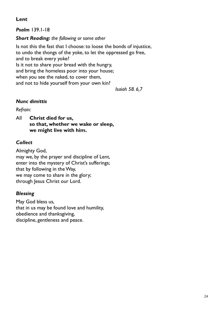## **Lent**

*Psalm* 139.1-18

## *Short Reading: the following or some other*

Is not this the fast that I choose: to loose the bonds of injustice, to undo the thongs of the yoke, to let the oppressed go free, and to break every yoke? Is it not to share your bread with the hungry, and bring the homeless poor into your house; when you see the naked, to cover them, and not to hide yourself from your own kin?

 *Isaiah 58. 6,7*

## *Nunc dimittis*

*Refrain:*

All **Christ died for us, so that, whether we wake or sleep, we might live with him.**

## *Collect*

Almighty God, may we, by the prayer and discipline of Lent, enter into the mystery of Christ's sufferings; that by following in the Way, we may come to share in the glory; through Jesus Christ our Lord.

## *Blessing*

May God bless us, that in us may be found love and humility, obedience and thanksgiving, discipline, gentleness and peace.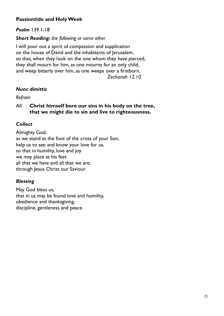## **Passiontide and Holy Week**

#### *Psalm* 139.1-18

#### *Short Reading: the following or some other*

I will pour out a spirit of compassion and supplication on the house of David and the inhabitants of Jerusalem, so that, when they look on the one whom they have pierced, they shall mourn for him, as one mourns for an only child, and weep bitterly over him, as one weeps over a firstborn. *Zechariah 12.10*

### *Nunc dimittis*

#### *Refrain:*

All **Christ himself bore our sins in his body on the tree, that we might die to sin and live to righteousness.**

## *Collect*

Almighty God, as we stand at the foot of the cross of your Son, help us to see and know your love for us, so that in humility, love and joy we may place at his feet all that we have and all that we are; through Jesus Christ our Saviour.

## *Blessing*

May God bless us, that in us may be found love and humility, obedience and thanksgiving, discipline, gentleness and peace.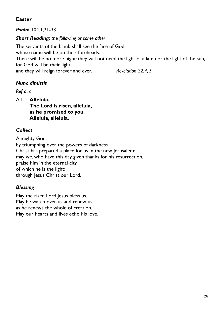## **Easter**

*Psalm* 104.1,21-33

*Short Reading: the following or some other*

The servants of the Lamb shall see the face of God, whose name will be on their foreheads. There will be no more night: they will not need the light of a lamp or the light of the sun, for God will be their light, and they will reign forever and ever. *Revelation 22.4, 5*

## *Nunc dimittis*

*Refrain:*

All **Alleluia. The Lord is risen, alleluia, as he promised to you. Alleluia, alleluia.**

## *Collect*

Almighty God, by triumphing over the powers of darkness Christ has prepared a place for us in the new Jerusalem: may we, who have this day given thanks for his resurrection, praise him in the eternal city of which he is the light; through Jesus Christ our Lord.

## *Blessing*

May the risen Lord Jesus bless us. May he watch over us and renew us as he renews the whole of creation. May our hearts and lives echo his love.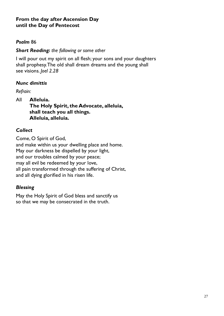#### **From the day after Ascension Day until the Day of Pentecost**

#### *Psalm* 86

#### *Short Reading: the following or some other*

I will pour out my spirit on all flesh; your sons and your daughters shall prophesy. The old shall dream dreams and the young shall see visions. *Joel 2.28*

#### *Nunc dimittis*

*Refrain:*

All **Alleluia. The Holy Spirit, the Advocate, alleluia, shall teach you all things. Alleluia, alleluia.**

### *Collect*

Come, O Spirit of God, and make within us your dwelling place and home. May our darkness be dispelled by your light, and our troubles calmed by your peace; may all evil be redeemed by your love, all pain transformed through the suffering of Christ, and all dying glorified in his risen life.

#### *Blessing*

May the Holy Spirit of God bless and sanctify us so that we may be consecrated in the truth.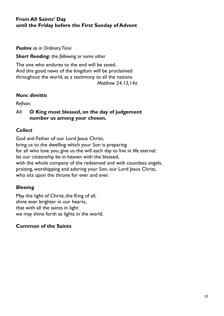## **From All Saints' Day until the Friday before the First Sunday of Advent**

#### *Psalms as in Ordinary Time*

#### *Short Reading: the following or some other*

The one who endures to the end will be saved. And this good news of the kingdom will be proclaimed throughout the world, as a testimony to all the nations. *Matthew 24.13,14a*

#### *Nunc dimittis*

*Refrain:*

All **O King most blessed, on the day of judgement number us among your chosen.**

#### *Collect*

God and Father of our Lord Jesus Christ, bring us to the dwelling which your Son is preparing for all who love you; give us the will each day to live in life eternal; let our citizenship be in heaven with the blessed, with the whole company of the redeemed and with countless angels, praising, worshipping and adoring your Son, our Lord Jesus Christ, who sits upon the throne for ever and ever.

#### *Blessing*

May the light of Christ, the King of all, shine ever brighter in our hearts, that with all the saints in light we may shine forth as lights in the world.

#### **Common of the Saints**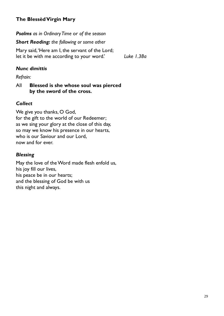## **The Blessèd Virgin Mary**

*Psalms as in Ordinary Time* or *of the season*

*Short Reading: the following or some other*

Mary said, 'Here am I, the servant of the Lord; let it be with me according to your word.' *Luke 1.38a*

## *Nunc dimittis*

*Refrain:*

#### All **Blessed is she whose soul was pierced by the sword of the cross.**

## *Collect*

We give you thanks, O God, for the gift to the world of our Redeemer; as we sing your glory at the close of this day, so may we know his presence in our hearts, who is our Saviour and our Lord, now and for ever.

## *Blessing*

May the love of the Word made flesh enfold us, his joy fill our lives, his peace be in our hearts; and the blessing of God be with us this night and always.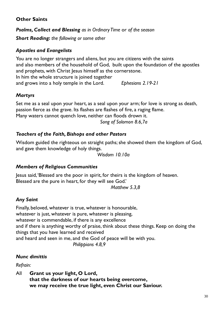## **Other Saints**

*Psalms, Collect and Blessing as in Ordinary Time* or *of the season*

*Short Reading: the following or some other*

## *Apostles and Evangelists*

You are no longer strangers and aliens, but you are citizens with the saints and also members of the household of God, built upon the foundation of the apostles and prophets, with Christ Jesus himself as the cornerstone. In him the whole structure is joined together and grows into a holy temple in the Lord. *Ephesians 2.19-21*

## *Martyrs*

Set me as a seal upon your heart, as a seal upon your arm; for love is strong as death, passion fierce as the grave. Its flashes are flashes of fire, a raging flame. Many waters cannot quench love, neither can floods drown it.

*Song of Solomon 8.6,7a*

## *Teachers of the Faith, Bishops and other Pastors*

Wisdom guided the righteous on straight paths; she showed them the kingdom of God, and gave them knowledge of holy things.

*Wisdom 10.10a*

## *Members of Religious Communities*

Jesus said, 'Blessed are the poor in spirit, for theirs is the kingdom of heaven. Blessed are the pure in heart, for they will see God.'

*Matthew 5.3,8*

## *Any Saint*

Finally, beloved, whatever is true, whatever is honourable, whatever is just, whatever is pure, whatever is pleasing, whatever is commendable, if there is any excellence and if there is anything worthy of praise, think about these things. Keep on doing the things that you have learned and received and heard and seen in me, and the God of peace will be with you. *Philippians 4.8,9*

## *Nunc dimittis*

*Refrain:*

All **Grant us your light, O Lord, that the darkness of our hearts being overcome, we may receive the true light, even Christ our Saviour.**